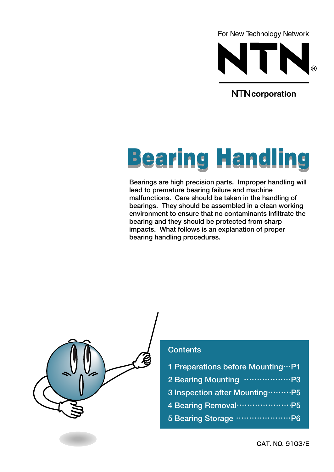For New Technology Network



**NTN** corporation

# **Bearing Handling**

**Bearings are high precision parts. Improper handling will lead to premature bearing failure and machine malfunctions. Care should be taken in the handling of bearings. They should be assembled in a clean working environment to ensure that no contaminants infiltrate the bearing and they should be protected from sharp impacts. What follows is an explanation of proper bearing handling procedures.**



#### **Contents**

- **1 Preparations before Mounting**…**P1**
- **2 Bearing Mounting** ………………**P3**
- **3 Inspection after Mounting**………**P5**
- **4 Bearing Removal**…………………**P5**
- **5 Bearing Storage** …………………**P6**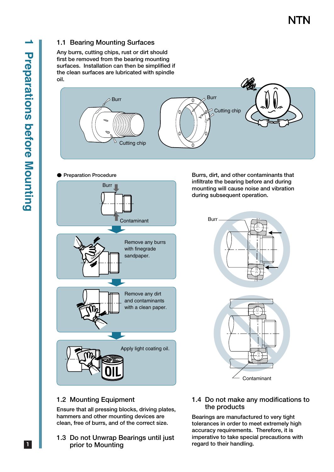#### **1.1 Bearing Mounting Surfaces**

**Any burrs, cutting chips, rust or dirt should first be removed from the bearing mounting surfaces. Installation can then be simplified if the clean surfaces are lubricated with spindle oil.** 



#### ● **Preparation Procedure**



**Burrs, dirt, and other contaminants that infiltrate the bearing before and during mounting will cause noise and vibration during subsequent operation.**



#### **1.2 Mounting Equipment**

**Ensure that all pressing blocks, driving plates, hammers and other mounting devices are clean, free of burrs, and of the correct size.**

- **1.3 Do not Unwrap Bearings until just prior to Mounting**
- **1.4 Do not make any modifications to the products**

**Bearings are manufactured to very tight tolerances in order to meet extremely high accuracy requirements. Therefore, it is imperative to take special precautions with regard to their handling.**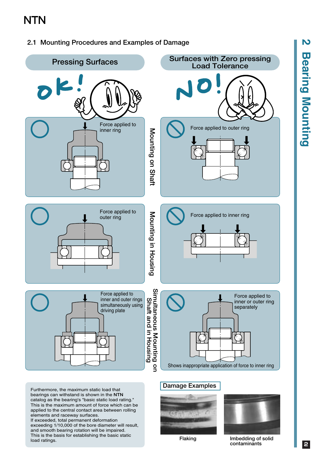#### **2.1 Mounting Procedures and Examples of Damage**



**2 Bearing Mounting Bearing Mounting** 

N

**2**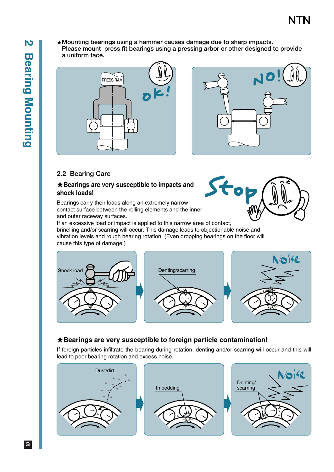★**Mounting bearings using a hammer causes damage due to sharp impacts. Please mount press fit bearings using a pressing arbor or other designed to provide a uniform face.**





 $\bullet$ 

#### **2.2 Bearing Care**

#### ★**Bearings are very susceptible to impacts and shock loads!**

Bearings carry their loads along an extremely narrow contact surface between the rolling elements and the inner and outer raceway surfaces.

If an excessive load or impact is applied to this narrow area of contact, brinelling and/or scarring will occur. This damage leads to objectionable noise and vibration levels and rough bearing rotation. (Even dropping bearings on the floor will cause this type of damage.)



#### ★**Bearings are very susceptible to foreign particle contamination!**

If foreign particles infiltrate the bearing during rotation, denting and/or scarring will occur and this will lead to poor bearing rotation and excess noise.





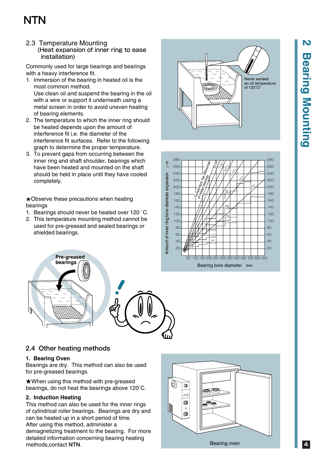#### 2.3 Temperature Mounting (Heat expansion of inner ring to ease installation)

Commonly used for large bearings and bearings with a heavy interference fit.

- 1. Immersion of the bearing in heated oil is the most common method. Use clean oil and suspend the bearing in the oil with a wire or support it underneath using a metal screen in order to avoid uneven heating of bearing elements.
- 2. The temperature to which the inner ring should be heated depends upon the amount of interference fit i.e. the diameter of the interference fit surfaces. Refer to the following graph to determine the proper temperature.
- 3. To prevent gaps from occurring between the inner ring and shaft shoulder, bearings which have been heated and mounted on the shaft should be held in place until they have cooled completely.

★Observe these precautions when heating bearings

- 1. Bearings should never be heated over 120 ˚C.
- 2. This temperature mounting method cannot be used for pre-greased and sealed bearings or shielded bearings.

Never exceed an oil temperature of 120˚C!



# **NTN Pre-greased bearings**

#### **2.4 Other heating methods**

#### **1. Bearing Oven**

Bearings are dry. This method can also be used for pre-greased bearings.

★When using this method with pre-greased bearings, do not heat the bearings above 120˚C.

#### **2. Induction Heating**

This method can also be used for the inner rings of cylindrical roller bearings. Bearings are dry and can be heated up in a short period of time. After using this method, administer a

demagnetizing treatment to the bearing. For more detailed information concerning bearing heating methods,contact NTN. Bearing oven



# N **2 Bearing Mounting Bearing Mounting**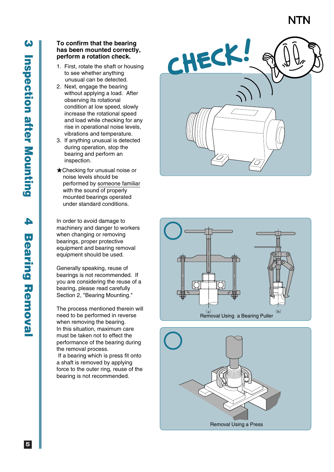# A **4 Bearing Removal Bearing Removal**

#### **To confirm that the bearing has been mounted correctly, perform a rotation check.**

- 1. First, rotate the shaft or housing to see whether anything unusual can be detected.
- 2. Next, engage the bearing without applying a load. After observing its rotational condition at low speed, slowly increase the rotational speed and load while checking for any rise in operational noise levels, vibrations and temperature.
- 3. If anything unusual is detected during operation, stop the bearing and perform an inspection.
- ★Checking for unusual noise or noise levels should be performed by someone familiar with the sound of properly mounted bearings operated under standard conditions.

In order to avoid damage to machinery and danger to workers when changing or removing bearings, proper protective equipment and bearing removal equipment should be used.

Generally speaking, reuse of bearings is not recommended. If you are considering the reuse of a bearing, please read carefully Section 2, "Bearing Mounting."

The process mentioned therein will need to be performed in reverse when removing the bearing. In this situation, maximum care must be taken not to effect the performance of the bearing during the removal process.

 If a bearing which is press fit onto a shaft is removed by applying force to the outer ring, reuse of the bearing is not recommended.